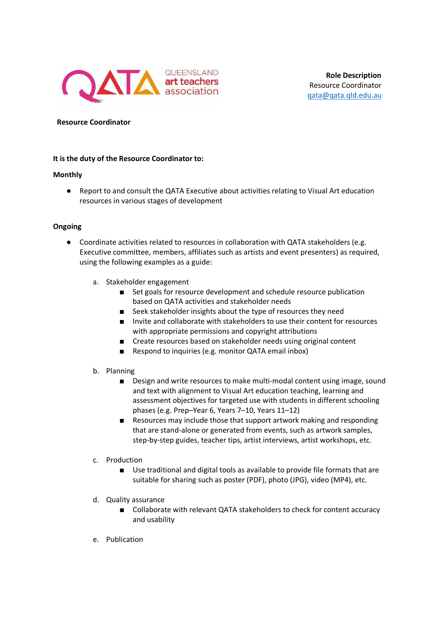

## **Resource Coordinator**

## **It is the duty of the Resource Coordinator to:**

## **Monthly**

● Report to and consult the QATA Executive about activities relating to Visual Art education resources in various stages of development

## **Ongoing**

- Coordinate activities related to resources in collaboration with QATA stakeholders (e.g. Executive committee, members, affiliates such as artists and event presenters) as required, using the following examples as a guide:
	- a. Stakeholder engagement
		- Set goals for resource development and schedule resource publication based on QATA activities and stakeholder needs
		- Seek stakeholder insights about the type of resources they need
		- Invite and collaborate with stakeholders to use their content for resources with appropriate permissions and copyright attributions
		- Create resources based on stakeholder needs using original content
		- Respond to inquiries (e.g. monitor QATA email inbox)
	- b. Planning
		- Design and write resources to make multi-modal content using image, sound and text with alignment to Visual Art education teaching, learning and assessment objectives for targeted use with students in different schooling phases (e.g. Prep–Year 6, Years 7–10, Years 11–12)
		- Resources may include those that support artwork making and responding that are stand-alone or generated from events, such as artwork samples, step-by-step guides, teacher tips, artist interviews, artist workshops, etc.
	- c. Production
		- Use traditional and digital tools as available to provide file formats that are suitable for sharing such as poster (PDF), photo (JPG), video (MP4), etc.
	- d. Quality assurance
		- Collaborate with relevant QATA stakeholders to check for content accuracy and usability
	- e. Publication